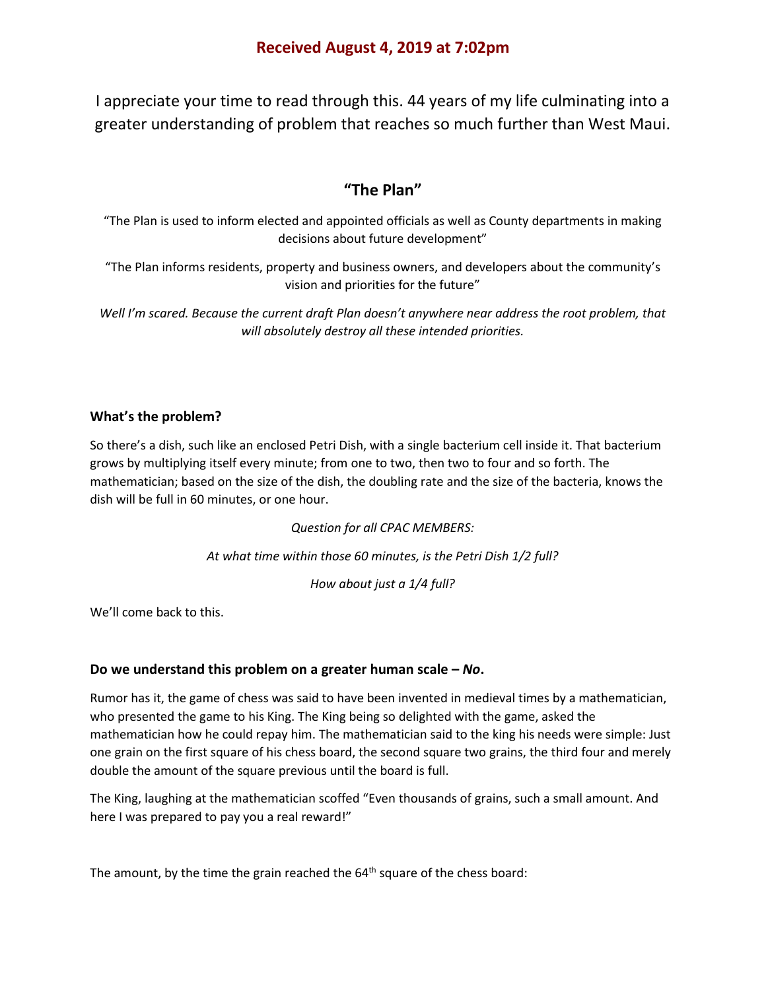I appreciate your time to read through this. 44 years of my life culminating into a greater understanding of problem that reaches so much further than West Maui.

# **"The Plan"**

"The Plan is used to inform elected and appointed officials as well as County departments in making decisions about future development"

"The Plan informs residents, property and business owners, and developers about the community's vision and priorities for the future"

*Well I'm scared. Because the current draft Plan doesn't anywhere near address the root problem, that will absolutely destroy all these intended priorities.* 

# **What's the problem?**

So there's a dish, such like an enclosed Petri Dish, with a single bacterium cell inside it. That bacterium grows by multiplying itself every minute; from one to two, then two to four and so forth. The mathematician; based on the size of the dish, the doubling rate and the size of the bacteria, knows the dish will be full in 60 minutes, or one hour.

*Question for all CPAC MEMBERS:*

*At what time within those 60 minutes, is the Petri Dish 1/2 full?*

*How about just a 1/4 full?*

We'll come back to this.

# **Do we understand this problem on a greater human scale –** *No***.**

Rumor has it, the game of chess was said to have been invented in medieval times by a mathematician, who presented the game to his King. The King being so delighted with the game, asked the mathematician how he could repay him. The mathematician said to the king his needs were simple: Just one grain on the first square of his chess board, the second square two grains, the third four and merely double the amount of the square previous until the board is full.

The King, laughing at the mathematician scoffed "Even thousands of grains, such a small amount. And here I was prepared to pay you a real reward!"

The amount, by the time the grain reached the  $64<sup>th</sup>$  square of the chess board: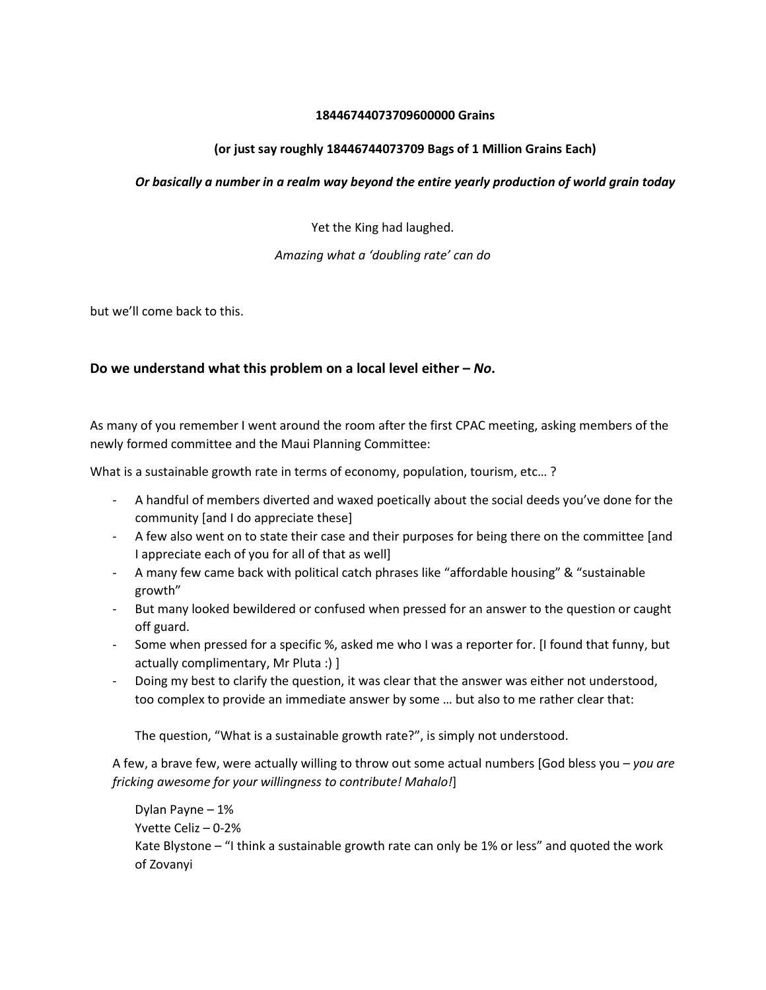## **18446744073709600000 Grains**

## **(or just say roughly 18446744073709 Bags of 1 Million Grains Each)**

## *Or basically a number in a realm way beyond the entire yearly production of world grain today*

Yet the King had laughed.

## *Amazing what a 'doubling rate' can do*

but we'll come back to this.

# **Do we understand what this problem on a local level either –** *No***.**

As many of you remember I went around the room after the first CPAC meeting, asking members of the newly formed committee and the Maui Planning Committee:

What is a sustainable growth rate in terms of economy, population, tourism, etc… ?

- A handful of members diverted and waxed poetically about the social deeds you've done for the community [and I do appreciate these]
- A few also went on to state their case and their purposes for being there on the committee [and I appreciate each of you for all of that as well]
- A many few came back with political catch phrases like "affordable housing" & "sustainable growth"
- But many looked bewildered or confused when pressed for an answer to the question or caught off guard.
- Some when pressed for a specific %, asked me who I was a reporter for. [I found that funny, but actually complimentary, Mr Pluta :) ]
- Doing my best to clarify the question, it was clear that the answer was either not understood, too complex to provide an immediate answer by some … but also to me rather clear that:

The question, "What is a sustainable growth rate?", is simply not understood.

A few, a brave few, were actually willing to throw out some actual numbers [God bless you – *you are fricking awesome for your willingness to contribute! Mahalo!*]

Dylan Payne – 1% Yvette Celiz – 0-2% Kate Blystone – "I think a sustainable growth rate can only be 1% or less" and quoted the work of Zovanyi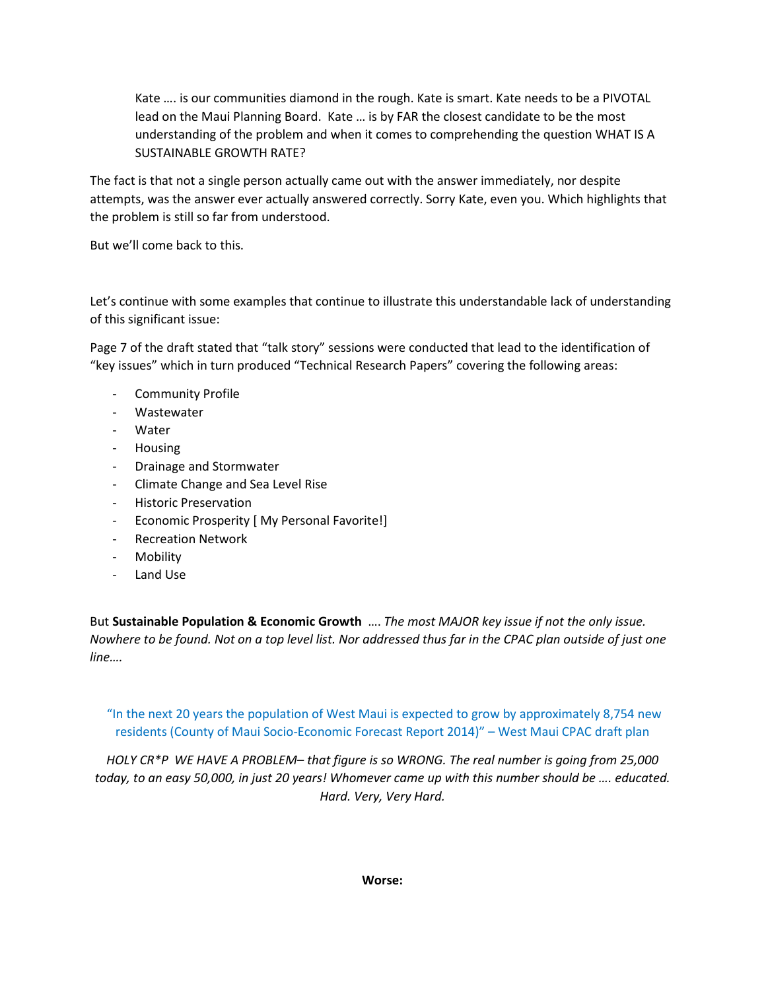Kate …. is our communities diamond in the rough. Kate is smart. Kate needs to be a PIVOTAL lead on the Maui Planning Board. Kate … is by FAR the closest candidate to be the most understanding of the problem and when it comes to comprehending the question WHAT IS A SUSTAINABLE GROWTH RATE?

The fact is that not a single person actually came out with the answer immediately, nor despite attempts, was the answer ever actually answered correctly. Sorry Kate, even you. Which highlights that the problem is still so far from understood.

But we'll come back to this.

Let's continue with some examples that continue to illustrate this understandable lack of understanding of this significant issue:

Page 7 of the draft stated that "talk story" sessions were conducted that lead to the identification of "key issues" which in turn produced "Technical Research Papers" covering the following areas:

- Community Profile
- Wastewater
- Water
- Housing
- Drainage and Stormwater
- Climate Change and Sea Level Rise
- Historic Preservation
- Economic Prosperity [ My Personal Favorite!]
- Recreation Network
- Mobility
- Land Use

But **Sustainable Population & Economic Growth** …. *The most MAJOR key issue if not the only issue. Nowhere to be found. Not on a top level list. Nor addressed thus far in the CPAC plan outside of just one line….*

"In the next 20 years the population of West Maui is expected to grow by approximately 8,754 new residents (County of Maui Socio-Economic Forecast Report 2014)" – West Maui CPAC draft plan

*HOLY CR\*P WE HAVE A PROBLEM– that figure is so WRONG. The real number is going from 25,000 today, to an easy 50,000, in just 20 years! Whomever came up with this number should be …. educated. Hard. Very, Very Hard.*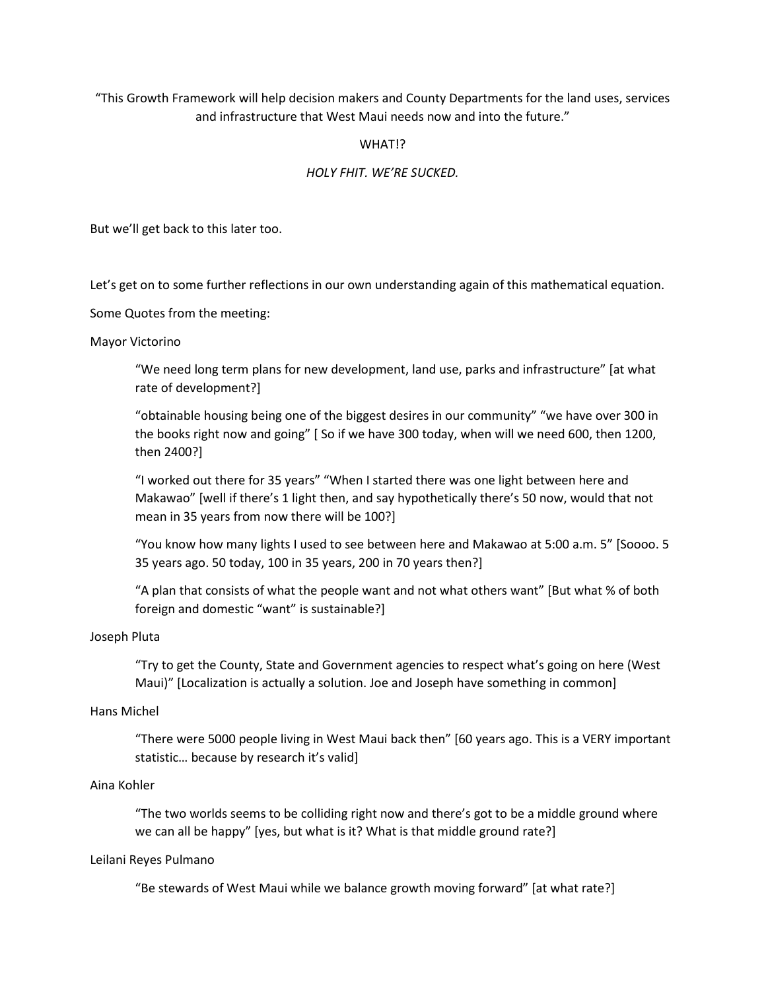"This Growth Framework will help decision makers and County Departments for the land uses, services and infrastructure that West Maui needs now and into the future."

### WHAT!?

## *HOLY FHIT. WE'RE SUCKED.*

But we'll get back to this later too.

Let's get on to some further reflections in our own understanding again of this mathematical equation.

Some Quotes from the meeting:

#### Mayor Victorino

"We need long term plans for new development, land use, parks and infrastructure" [at what rate of development?]

"obtainable housing being one of the biggest desires in our community" "we have over 300 in the books right now and going" [ So if we have 300 today, when will we need 600, then 1200, then 2400?]

"I worked out there for 35 years" "When I started there was one light between here and Makawao" [well if there's 1 light then, and say hypothetically there's 50 now, would that not mean in 35 years from now there will be 100?]

"You know how many lights I used to see between here and Makawao at 5:00 a.m. 5" [Soooo. 5 35 years ago. 50 today, 100 in 35 years, 200 in 70 years then?]

"A plan that consists of what the people want and not what others want" [But what % of both foreign and domestic "want" is sustainable?]

#### Joseph Pluta

"Try to get the County, State and Government agencies to respect what's going on here (West Maui)" [Localization is actually a solution. Joe and Joseph have something in common]

### Hans Michel

"There were 5000 people living in West Maui back then" [60 years ago. This is a VERY important statistic… because by research it's valid]

#### Aina Kohler

"The two worlds seems to be colliding right now and there's got to be a middle ground where we can all be happy" [yes, but what is it? What is that middle ground rate?]

#### Leilani Reyes Pulmano

"Be stewards of West Maui while we balance growth moving forward" [at what rate?]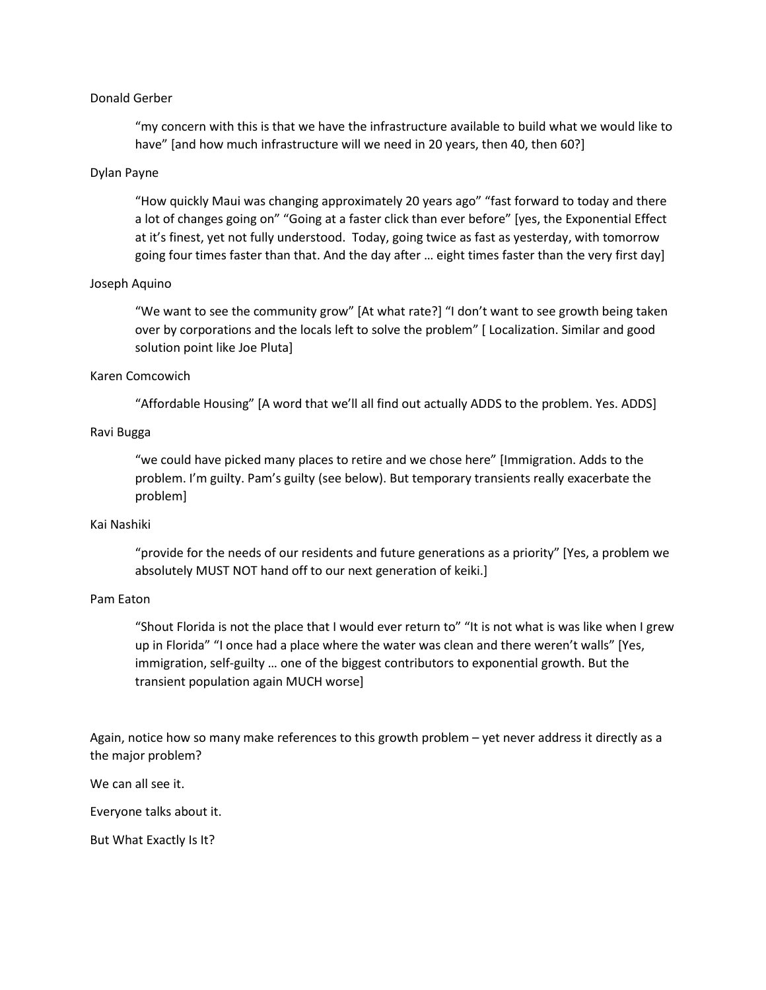### Donald Gerber

"my concern with this is that we have the infrastructure available to build what we would like to have" [and how much infrastructure will we need in 20 years, then 40, then 60?]

#### Dylan Payne

"How quickly Maui was changing approximately 20 years ago" "fast forward to today and there a lot of changes going on" "Going at a faster click than ever before" [yes, the Exponential Effect at it's finest, yet not fully understood. Today, going twice as fast as yesterday, with tomorrow going four times faster than that. And the day after … eight times faster than the very first day]

### Joseph Aquino

"We want to see the community grow" [At what rate?] "I don't want to see growth being taken over by corporations and the locals left to solve the problem" [ Localization. Similar and good solution point like Joe Pluta]

#### Karen Comcowich

"Affordable Housing" [A word that we'll all find out actually ADDS to the problem. Yes. ADDS]

## Ravi Bugga

"we could have picked many places to retire and we chose here" [Immigration. Adds to the problem. I'm guilty. Pam's guilty (see below). But temporary transients really exacerbate the problem]

### Kai Nashiki

"provide for the needs of our residents and future generations as a priority" [Yes, a problem we absolutely MUST NOT hand off to our next generation of keiki.]

### Pam Eaton

"Shout Florida is not the place that I would ever return to" "It is not what is was like when I grew up in Florida" "I once had a place where the water was clean and there weren't walls" [Yes, immigration, self-guilty … one of the biggest contributors to exponential growth. But the transient population again MUCH worse]

Again, notice how so many make references to this growth problem – yet never address it directly as a the major problem?

We can all see it.

Everyone talks about it.

But What Exactly Is It?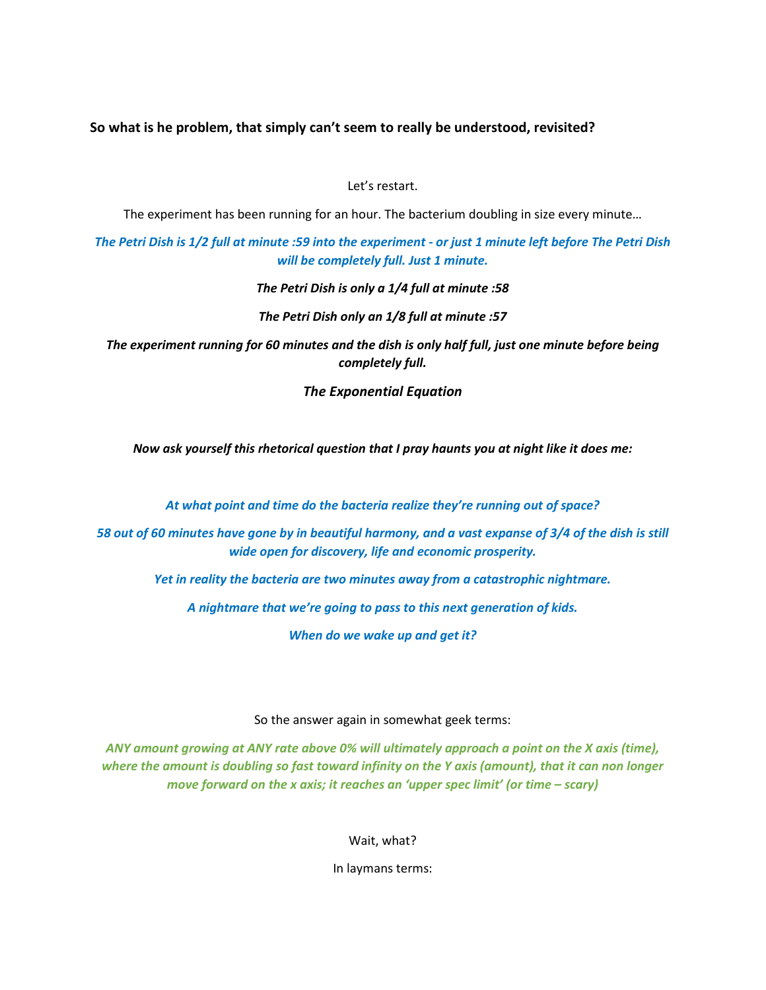**So what is he problem, that simply can't seem to really be understood, revisited?**

Let's restart.

The experiment has been running for an hour. The bacterium doubling in size every minute…

*The Petri Dish is 1/2 full at minute :59 into the experiment - or just 1 minute left before The Petri Dish will be completely full. Just 1 minute.*

*The Petri Dish is only a 1/4 full at minute :58*

*The Petri Dish only an 1/8 full at minute :57*

*The experiment running for 60 minutes and the dish is only half full, just one minute before being completely full.*

*The Exponential Equation*

*Now ask yourself this rhetorical question that I pray haunts you at night like it does me:*

*At what point and time do the bacteria realize they're running out of space?*

*58 out of 60 minutes have gone by in beautiful harmony, and a vast expanse of 3/4 of the dish is still wide open for discovery, life and economic prosperity.* 

*Yet in reality the bacteria are two minutes away from a catastrophic nightmare.*

*A nightmare that we're going to pass to this next generation of kids.*

*When do we wake up and get it?*

So the answer again in somewhat geek terms:

*ANY amount growing at ANY rate above 0% will ultimately approach a point on the X axis (time), where the amount is doubling so fast toward infinity on the Y axis (amount), that it can non longer move forward on the x axis; it reaches an 'upper spec limit' (or time – scary)*

Wait, what?

In laymans terms: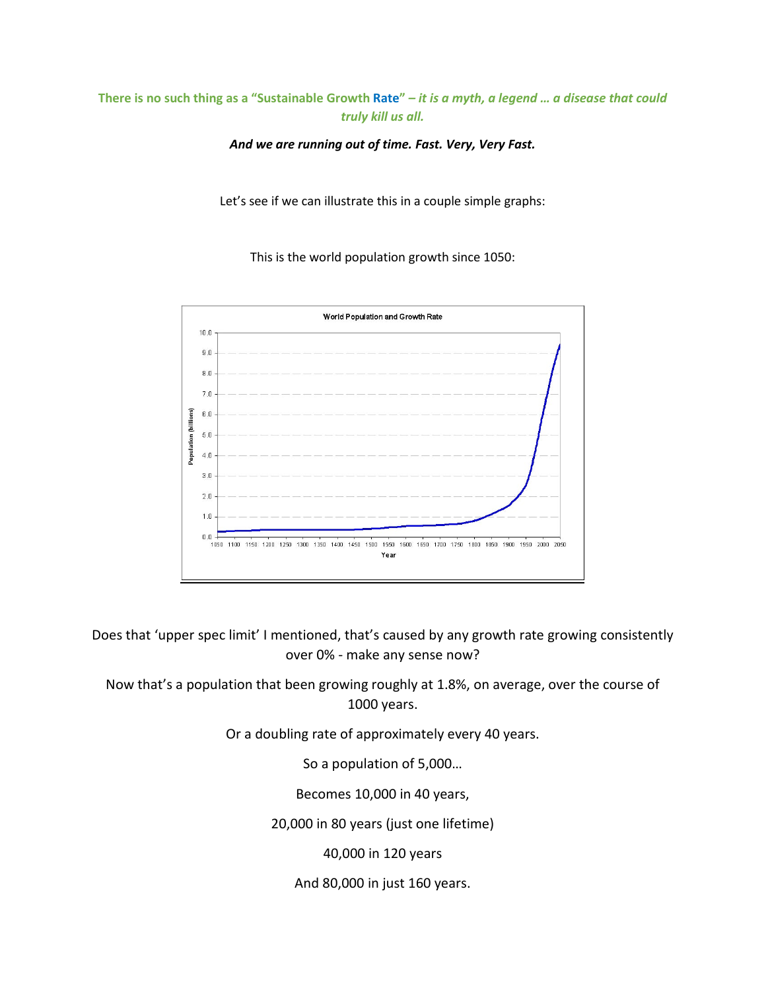# **There is no such thing as a "Sustainable Growth Rate"** *– it is a myth, a legend … a disease that could truly kill us all.*

*And we are running out of time. Fast. Very, Very Fast.*

Let's see if we can illustrate this in a couple simple graphs:

This is the world population growth since 1050:



Does that 'upper spec limit' I mentioned, that's caused by any growth rate growing consistently over 0% - make any sense now?

Now that's a population that been growing roughly at 1.8%, on average, over the course of 1000 years.

Or a doubling rate of approximately every 40 years.

So a population of 5,000…

Becomes 10,000 in 40 years,

20,000 in 80 years (just one lifetime)

40,000 in 120 years

And 80,000 in just 160 years.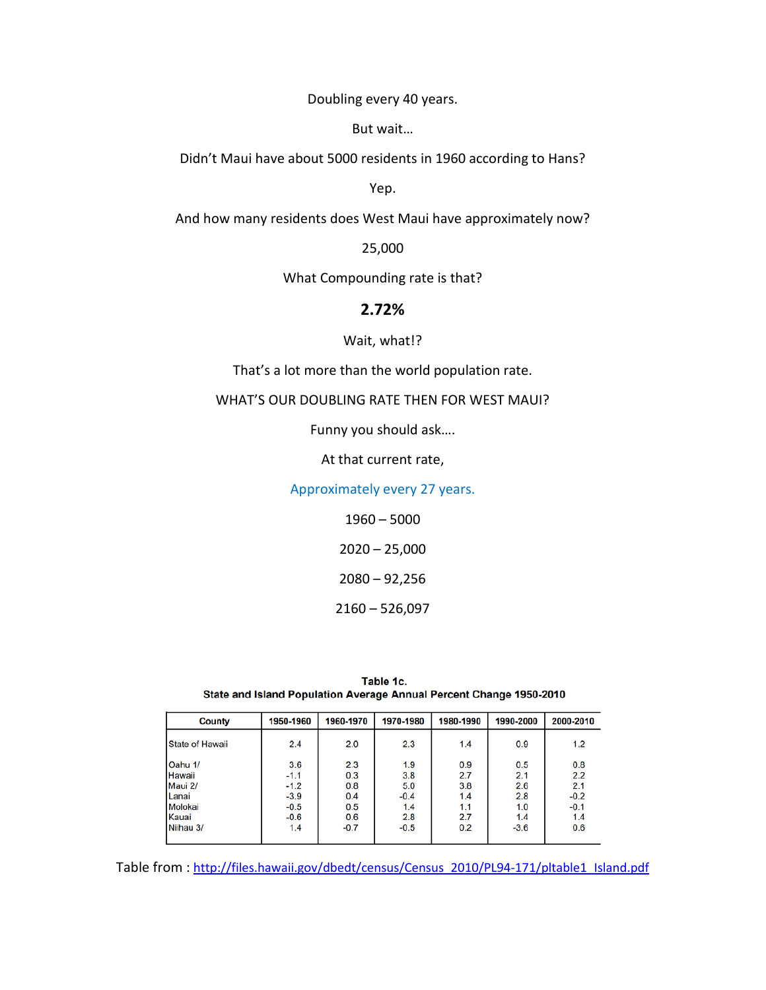Doubling every 40 years.

But wait…

Didn't Maui have about 5000 residents in 1960 according to Hans?

Yep.

And how many residents does West Maui have approximately now?

25,000

What Compounding rate is that?

# **2.72%**

### Wait, what!?

That's a lot more than the world population rate.

WHAT'S OUR DOUBLING RATE THEN FOR WEST MAUI?

Funny you should ask….

At that current rate,

Approximately every 27 years.

1960 – 5000

2020 – 25,000

2080 – 92,256

2160 – 526,097

| Table 1c.                                                           |  |  |  |  |  |  |  |  |  |
|---------------------------------------------------------------------|--|--|--|--|--|--|--|--|--|
| State and Island Population Average Annual Percent Change 1950-2010 |  |  |  |  |  |  |  |  |  |

| County                 | 1950-1960 | 1960-1970 | 1970-1980 | 1980-1990 | 1990-2000 | 2000-2010 |
|------------------------|-----------|-----------|-----------|-----------|-----------|-----------|
| <b>State of Hawaii</b> | 2.4       | 2.0       | 2.3       | 1.4       | 0.9       | 1.2       |
| Oahu 1/                | 3.6       | 2.3       | 1.9       | 0.9       | 0.5       | 0.8       |
| lHawaii                | $-1.1$    | 0.3       | 3.8       | 2.7       | 2.1       | 2.2       |
| Maui 2/                | $-1.2$    | 0.8       | 5.0       | 3.8       | 2.6       | 2.1       |
| Lanai                  | $-3.9$    | 0.4       | $-0.4$    | 1.4       | 2.8       | $-0.2$    |
| Molokai                | $-0.5$    | 0.5       | 1.4       | 1.1       | 1.0       | $-0.1$    |
| Kauai                  | $-0.6$    | 0.6       | 2.8       | 2.7       | 1.4       | 1.4       |
| Niihau 3/              | 1.4       | $-0.7$    | $-0.5$    | 0.2       | $-3.6$    | 0.6       |
|                        |           |           |           |           |           |           |

Table from [: http://files.hawaii.gov/dbedt/census/Census\\_2010/PL94-171/pltable1\\_Island.pdf](http://files.hawaii.gov/dbedt/census/Census_2010/PL94-171/pltable1_Island.pdf)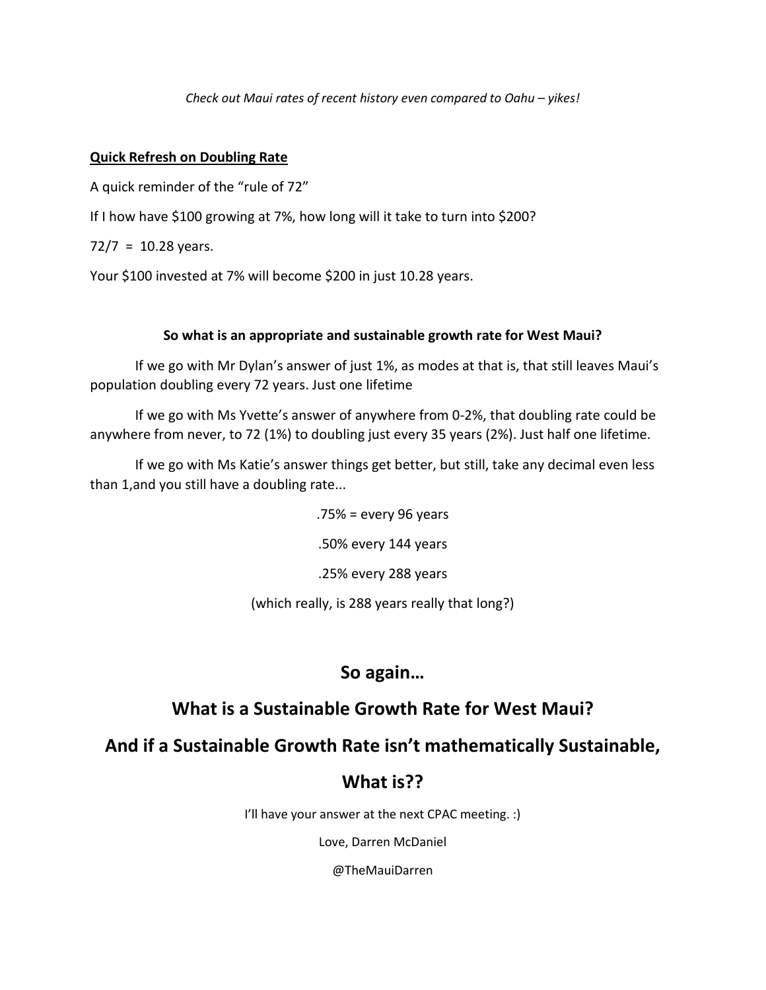*Check out Maui rates of recent history even compared to Oahu – yikes!*

# **Quick Refresh on Doubling Rate**

A quick reminder of the "rule of 72"

If I how have \$100 growing at 7%, how long will it take to turn into \$200?

 $72/7 = 10.28$  years.

Your \$100 invested at 7% will become \$200 in just 10.28 years.

# **So what is an appropriate and sustainable growth rate for West Maui?**

If we go with Mr Dylan's answer of just 1%, as modes at that is, that still leaves Maui's population doubling every 72 years. Just one lifetime

If we go with Ms Yvette's answer of anywhere from 0-2%, that doubling rate could be anywhere from never, to 72 (1%) to doubling just every 35 years (2%). Just half one lifetime.

If we go with Ms Katie's answer things get better, but still, take any decimal even less than 1,and you still have a doubling rate...

.75% = every 96 years

.50% every 144 years

.25% every 288 years

(which really, is 288 years really that long?)

# **So again…**

# **What is a Sustainable Growth Rate for West Maui?**

# **And if a Sustainable Growth Rate isn't mathematically Sustainable,**

# **What is??**

I'll have your answer at the next CPAC meeting. :)

Love, Darren McDaniel

@TheMauiDarren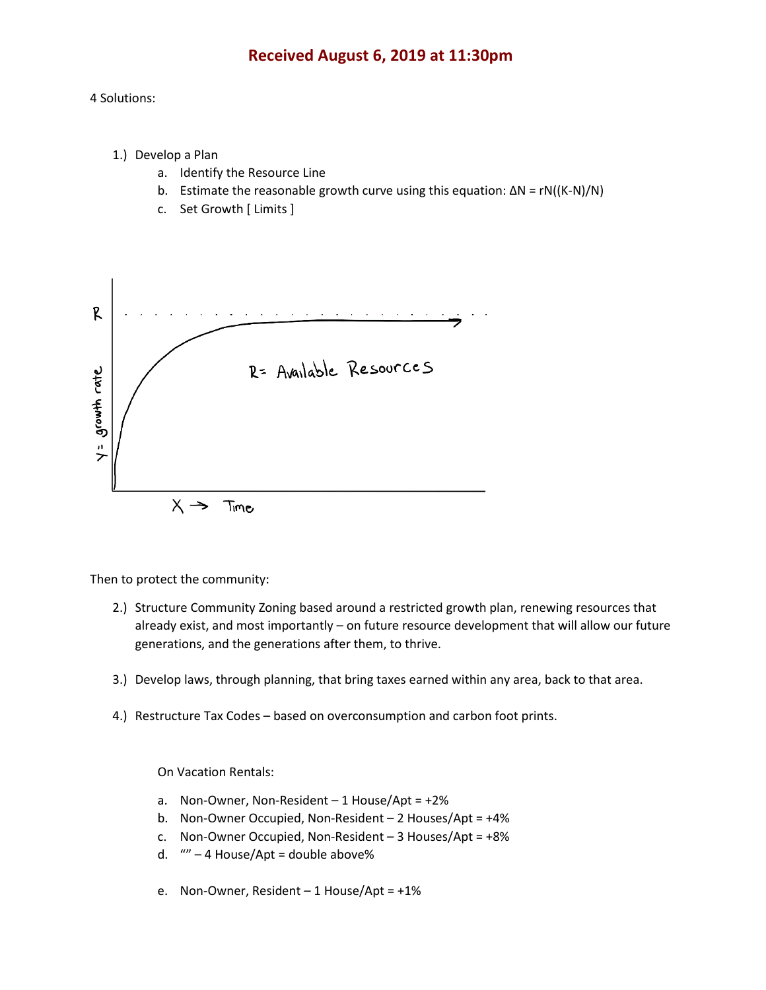# **Received August 6, 2019 at 11:30pm**

## 4 Solutions:

- 1.) Develop a Plan
	- a. Identify the Resource Line
	- b. Estimate the reasonable growth curve using this equation:  $\Delta N = rN((K-N)/N)$
	- c. Set Growth [ Limits ]



Then to protect the community:

- 2.) Structure Community Zoning based around a restricted growth plan, renewing resources that already exist, and most importantly – on future resource development that will allow our future generations, and the generations after them, to thrive.
- 3.) Develop laws, through planning, that bring taxes earned within any area, back to that area.
- 4.) Restructure Tax Codes based on overconsumption and carbon foot prints.

On Vacation Rentals:

- a. Non-Owner, Non-Resident  $-1$  House/Apt =  $+2\%$
- b. Non-Owner Occupied, Non-Resident 2 Houses/Apt = +4%
- c. Non-Owner Occupied, Non-Resident 3 Houses/Apt = +8%
- d. "" 4 House/Apt = double above%
- e. Non-Owner, Resident 1 House/Apt = +1%